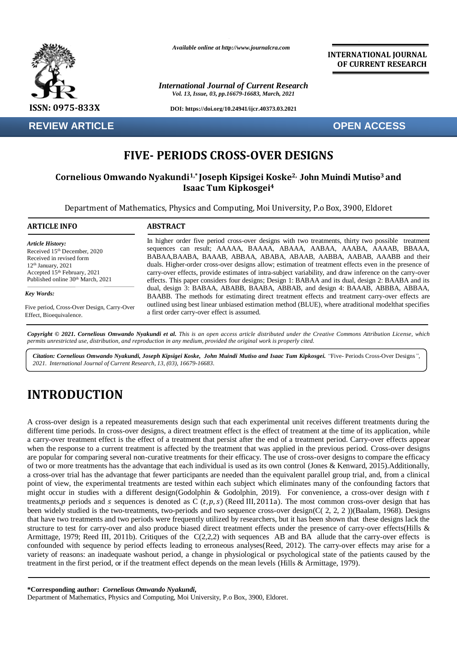

**REVIEW ARTICLE OPEN ACCESS**

*Available online at http://www.journalcra.com*

*International Journal of Current Research Vol. 13, Issue, 03, pp.16679-16683, March, 2021*

**DOI: https://doi.org/10.24941/ijcr.40373.03.2021**

**INTERNATIONAL JOURNAL OF CURRENT RESEARCH**

# **FIVE- PERIODS CROSS-OVER DESIGNS**

# **Cornelious Omwando Nyakundi1,\* Joseph Kipsigei Koske2, John Muindi Mutiso3 and Isaac Tum Kipkosgei<sup>4</sup>**

Department of Mathematics, Physics and Computing, Moi University, P.o Box, 3900, Eldoret

| <b>ARTICLE INFO</b>                        | <b>ABSTRACT</b>                                                                                                                                                                   |  |  |  |  |
|--------------------------------------------|-----------------------------------------------------------------------------------------------------------------------------------------------------------------------------------|--|--|--|--|
| <b>Article History:</b>                    | In higher order five period cross-over designs with two treatments, thirty two possible treatment                                                                                 |  |  |  |  |
| Received 15th December, 2020               | sequences can result; AAAAA, BAAAA, ABAAA, AABAA, AAABA, AAAAB, BBAAA,                                                                                                            |  |  |  |  |
| Received in revised form                   | BABAA, BAABA, BAAAB, ABBAA, ABABA, ABAAB, AABBA, AABAB, AAABB and their                                                                                                           |  |  |  |  |
| $12th$ January, 2021                       | duals. Higher-order cross-over designs allow; estimation of treatment effects even in the presence of                                                                             |  |  |  |  |
| Accepted 15th February, 2021               | carry-over effects, provide estimates of intra-subject variability, and draw inference on the carry-over                                                                          |  |  |  |  |
| Published online 30th March, 2021          | effects. This paper considers four designs; Design 1: BABAA and its dual, design 2: BAABA and its                                                                                 |  |  |  |  |
| Key Words:                                 | dual, design 3: BABAA, ABABB, BAABA, ABBAB, and design 4: BAAAB, ABBBA, ABBAA,<br>BAABB. The methods for estimating direct treatment effects and treatment carry-over effects are |  |  |  |  |
| Five period, Cross-Over Design, Carry-Over | outlined using best linear unbiased estimation method (BLUE), where atraditional model that specifies                                                                             |  |  |  |  |
| Effect, Bioequivalence.                    | a first order carry-over effect is assumed.                                                                                                                                       |  |  |  |  |

Copyright © 2021. Cornelious Omwando Nyakundi et al. This is an open access article distributed under the Creative Commons Attribution License, which permits unrestricted use, distribution, and reproduction in any medium, provided the original work is properly cited.

*Citation: Cornelious Omwando Nyakundi, Joseph Kipsigei Koske, John Muindi Mutiso and Isaac Tum Kipkosgei. "*Five- Periods Cross-Over Designs*", 2021. International Journal of Current Research, 13, (03), 16679-16683.*

# **INTRODUCTION**

A cross-over design is a repeated measurements design such that each experimental unit receives different treatments during the different time periods. In cross-over designs, a direct treatment effect is the effect of treatment at the time of its application, while a carry-over treatment effect is the effect of a treatment that persist after the end of a treatment period. Carry-over effects appear when the response to a current treatment is affected by the treatment that was applied in the previous period. Cross-over designs are popular for comparing several non-curative treatments for their efficacy. The use of cross-over designs to compare the efficacy of two or more treatments has the advantage that each individual is used as its own control (Jones & Kenward, 2015).Additionally, a cross-over trial has the advantage that fewer participants are needed than the equivalent parallel group trial, and, from a clinical point of view, the experimental treatments are tested within each subject which eliminates many of the confounding factors that might occur in studies with a different design(Godolphin & Godolphin, 2019). For convenience, a cross-over design with  $t$ treatments, periods and s sequences is denoted as  $\overline{C}(t, p, s)$  (Reed III, 2011a). The most common cross-over design that has been widely studied is the two-treatments, two-periods and two sequence cross-over design(C( 2, 2, 2))(Baalam, 1968). Designs that have two treatments and two periods were frequently utilized by researchers, but it has been shown that these designs lack the structure to test for carry-over and also produce biased direct treatment effects under the presence of carry-over effects(Hills & Armittage, 1979; Reed III, 2011b). Critiques of the  $C(2,2,2)$  with sequences AB and BA allude that the carry-over effects is confounded with sequence by period effects leading to erroneous analyses(Reed, 2012). The carry-over effects may arise for a variety of reasons: an inadequate washout period, a change in physiological or psychological state of the patients caused by the treatment in the first period, or if the treatment effect depends on the mean levels (Hills & Armittage, 1979).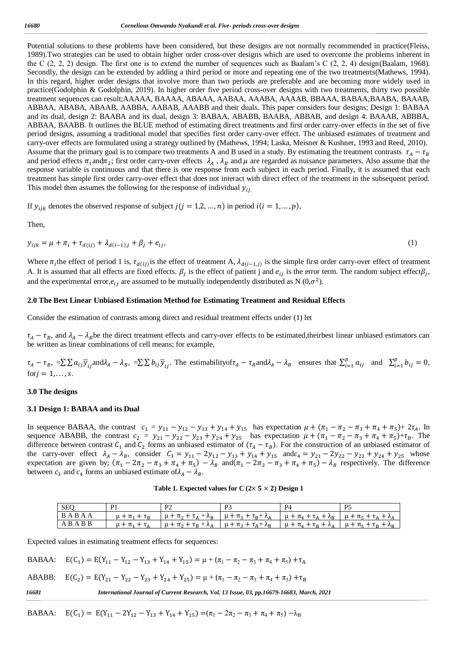Potential solutions to these problems have been considered, but these designs are not normally recommended in practice(Fleiss, 1989).Two strategies can be used to obtain higher order cross-over designs which are used to overcome the problems inherent in the C  $(2, 2, 2)$  design. The first one is to extend the number of sequences such as Baalam's C  $(2, 2, 4)$  design(Baalam, 1968). Secondly, the design can be extended by adding a third period or more and repeating one of the two treatments(Mathews, 1994). In this regard, higher order designs that involve more than two periods are preferable and are becoming more widely used in practice(Godolphin & Godolphin, 2019). In higher order five period cross-over designs with two treatments, thirty two possible treatment sequences can result;AAAAA, BAAAA, ABAAA, AABAA, AAABA, AAAAB, BBAAA, BABAA,BAABA, BAAAB, ABBAA, ABABA, ABAAB, AABBA, AABAB, AAABB and their duals. This paper considers four designs; Design 1: BABAA and its dual, design 2: BAABA and its dual, design 3: BABAA, ABABB, BAABA, ABBAB, and design 4: BAAAB, ABBBA, ABBAA, BAABB. It outlines the BLUE method of estimating direct treatments and first order carry-over effects in the set of five period designs, assuming a traditional model that specifies first order carry-over effect. The unbiased estimates of treatment and carry-over effects are formulated using a strategy outlined by (Mathews, 1994; Laska, Meisner & Kushner, 1993 and Reed, 2010). Assume that the primary goal is to compare two treatments A and B used in a study. By estimating the treatment contrasts  $\tau_A - \tau_B$ and period effects  $\pi_1$  and  $\pi_2$ ; first order carry-over effects  $\lambda_A$ ,  $\lambda_B$  and  $\mu$  are regarded as nuisance parameters. Also assume that the response variable is continuous and that there is one response from each subject in each period. Finally, it is assumed that each treatment has simple first order carry-over effect that does not interact with direct effect of the treatment in the subsequent period. This model then assumes the following for the response of individual  $y_{ij}$ .

If  $y_{ijk}$  denotes the observed response of subject  $j ( j = 1, 2, ..., n)$  in period  $i ( i = 1, ..., p)$ ,

Then,

$$
y_{ijk} = \mu + \pi_i + \tau_{d(ij)} + \lambda_{d(i-1),j} + \beta_j + e_{ij},
$$
\n(1)

Where  $\pi_i$ the effect of period 1 is,  $\tau_{d(i)}$  is the effect of treatment A,  $\lambda_{d(i-1,j)}$  is the simple first order carry-over effect of treatment A. It is assumed that all effects are fixed effects.  $\beta_j$  is the effect of patient j and  $e_{ij}$  is the error term. The random subject effect $\beta_j$ , and the experimental error,  $e_{ij}$  are assumed to be mutually independently distributed as N  $(0, \sigma^2)$ .

#### **2.0 The Best Linear Unbiased Estimation Method for Estimating Treatment and Residual Effects**

Consider the estimation of contrasts among direct and residual treatment effects under (1) let

 $\tau_A - \tau_B$ , and  $\lambda_A - \lambda_B$ be the direct treatment effects and carry-over effects to be estimated, theirbest linear unbiased estimators can be written as linear combinations of cell means; for example,

 $\tau_A - \tau_B$ ,  $=\sum \sum a_{ij} \overline{y}_{ij}$  and  $\lambda_A - \lambda_B$ ,  $=\sum \sum b_{ij} \overline{y}_{ij}$ . The estimability of  $\tau_A - \tau_B$  and  $\lambda_A - \lambda_B$  ensures that  $\sum_{i=1}^p a_{ij}$  $_{i=1}^{p} a_{ij}$  and  $\sum_{i=1}^{p} b_{ij} = 0$  $_{i=1}^{p} b_{ij} = 0,$ for  $j = 1, \ldots, s$ .

#### **3.0 The designs**

#### **3.1 Design 1: BABAA and its Dual**

In sequence BABAA, the contrast  $c_1 = y_{11} - y_{12} - y_{13} + y_{14} + y_{15}$  has expectation  $\mu + (\pi_1 - \pi_2 - \pi_3 + \pi_4 + \pi_5) + 2\tau_A$ . In sequence ABABB, the contrast  $c_2 = y_{21} - y_{22} - y_{23} + y_{24} + y_{25}$  has expectation  $\mu + (\pi_1 - \pi_2 - \pi_3 + \pi_4 + \pi_5) + \tau_B$ . The difference between contrast  $C_1$  and  $C_2$  forms an unbiased estimator of  $(\tau_A - \tau_B)$ . For the construction of an unbiased estimator of the carry-over effect  $\lambda_A - \lambda_B$ , consider  $C_3 = y_{11} - 2y_{12} - y_{13} + y_{14} + y_{15}$  and  $c_4 = y_{21} - 2y_{22} - y_{23} + y_{24} + y_{25}$  whose expectation are given by;  $(\pi_1 - 2\pi_2 - \pi_3 + \pi_4 + \pi_5) - \lambda_B$  and  $(\pi_1 - 2\pi_2 - \pi_3 + \pi_4 + \pi_5) - \lambda_B$  respectively. The difference between  $c_3$  and  $c_4$  forms an unbiased estimate of  $\lambda_A - \lambda_B$ .

Table 1. Expected values for C  $(2 \times 5 \times 2)$  Design 1

| SEQ   | D1          | P <sub>2</sub>                     | D <sub>2</sub>                     | P4                                 | D5                                       |
|-------|-------------|------------------------------------|------------------------------------|------------------------------------|------------------------------------------|
| BABAA |             | $\mu + \pi_2 + \tau_A + \lambda_B$ | $\mu + \pi_3 + \tau_B + \lambda_A$ | $\mu + \pi_4 + \tau_4 + \lambda_B$ | $\mu + \pi_5 + \tau_4 + \lambda_4$       |
| ABABB | $1 + \pi_1$ | $\mu + \pi_2 + \tau_B + \lambda_A$ | $\mu + \pi_3 + \tau_A + \lambda_B$ | $\mu + \pi_A + \tau_B + \lambda_A$ | $\mu + \pi_{5} + \tau_{B} + \lambda_{B}$ |

Expected values in estimating treatment effects for sequences:

BABAA: ) =  $E(Y_{11} - Y_{12} - Y_{13} + Y_{14} + Y_{15}) = \mu + (\pi_1 - \pi_2 - \pi_3 + \pi_4 + \pi_5) + \tau_A$ 

ABABB: ) =  $E(Y_{21} - Y_{22} - Y_{23} + Y_{24} + Y_{25}) = \mu + (\pi_1 - \pi_2 - \pi_3 + \pi_4 + \pi_5) + \tau_B$ 

Expected values in estimating carry-over effects for sequences: *16681 International Journal of Current Research, Vol. 13 Issue, 03, pp.16679-16683, March, 2021*

BABAA:  $E(C_1) = E(Y_{11} - 2Y_{12} - Y_{13} + Y_{14} + Y_{15}) = (\pi_1 - 2\pi_2 - \pi_3 + \pi_4 + \pi_5) - \lambda_B$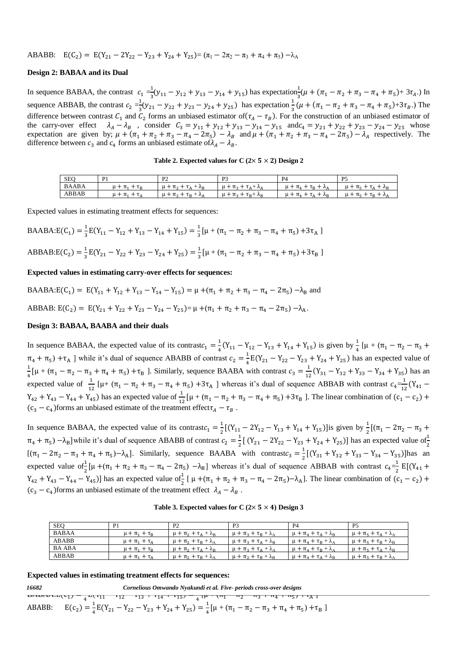ABABB: 
$$
E(C_2) = E(Y_{21} - 2Y_{22} - Y_{23} + Y_{24} + Y_{25}) = (\pi_1 - 2\pi_2 - \pi_3 + \pi_4 + \pi_5) - \lambda_A
$$

#### **Design 2: BABAA and its Dual**

In sequence BABAA, the contrast  $c_1 = \frac{1}{3}$  $\frac{1}{3}(y_{11} - y_{12} + y_{13} - y_{14} + y_{15})$  has expectation  $\frac{1}{3}(\mu + (\pi_1 - \pi_2 + \pi_3 - \pi_4 + \pi_5) + 3\tau_4)$ . In sequence ABBAB, the contrast  $c_2 = \frac{1}{3}$  $\frac{1}{3}(y_{21} - y_{22} + y_{23} - y_{24} + y_{25})$  has expectation  $\frac{1}{3}(\mu + (\pi_1 - \pi_2 + \pi_3 - \pi_4 + \pi_5) + 3\tau_B)$ . The difference between contrast  $C_1$  and  $C_2$  forms an unbiased estimator of  $(\tau_A - \tau_B)$ . For the construction of an unbiased estimator of the carry-over effect  $\lambda_A - \lambda_B$ , consider  $C_3 = y_{11} + y_{12} + y_{13} - y_{14} - y_{15}$  and  $c_4 = y_{21} + y_{22} + y_{23} - y_{24} - y_{25}$  whose expectation are given by;  $\mu + (\pi_1 + \pi_2 + \pi_3 - \pi_4 - 2\pi_5) - \lambda_B$  and  $\mu + (\pi_1 + \pi_2 + \pi_3 - \pi_4 - 2\pi_5) - \lambda_A$  respectively. The difference between  $c_3$  and  $c_4$  forms an unbiased estimate of  $\lambda_A - \lambda_B$ .

Table 2. Expected values for  $C$  ( $2 \times 5 \times 2$ ) Design 2

| <b>SEQ</b>   | P <sub>1</sub>                    | D0<br>. .                                                                         | P <sub>3</sub>                                                    | P <sub>4</sub>                                                             | P <sub>5</sub>                                                |
|--------------|-----------------------------------|-----------------------------------------------------------------------------------|-------------------------------------------------------------------|----------------------------------------------------------------------------|---------------------------------------------------------------|
| <b>BAABA</b> | $\pi_{1}$<br>$\sim$<br><b>L</b> R | $\sim$<br>$\pi_{\alpha}$<br><b>__</b><br>--<br>∸<br>$\Lambda_{\rm R}$<br>и.<br>ι∧ | $\pi_{\circ}$<br>$\sim$<br>$\mu +$<br>$h +$<br>-<br>$\Lambda$     | $\pi_{\scriptscriptstyle{A}}$<br>$L_{\rm R}$<br>$\Lambda_{\Lambda}$<br>u - | $\mu + \pi_{\epsilon}$<br>$+ \Lambda_{\rm R}$<br>$\pm$<br>LΛ  |
| ABBAB        | π.<br>$\sim$<br>ιΔ<br>. .         | $\sim$<br>$\pi$ <sub>2</sub><br>-<br>--<br>$+ \lambda_A$<br>$\tau_B$<br>и.        | $\pi_{2}$<br>$\sim$<br>$\mathfrak{u}$ +<br>$\tau_B$ + $\lambda_B$ | $\pi_{4}$<br>u +<br>ιΔ<br>$\Lambda_{\rm R}$                                | $\sim$<br>$\mu + \pi_{\epsilon}$<br>$\tau_B + \lambda_A$<br>- |

Expected values in estimating treatment effects for sequences:

$$
\text{BAABA:}\text{E}(C_1) = \frac{1}{3}\text{E}(Y_{11} - Y_{12} + Y_{13} - Y_{14} + Y_{15}) = \frac{1}{3}[\mu + (\pi_1 - \pi_2 + \pi_3 - \pi_4 + \pi_5) + 3\tau_A]
$$
\n
$$
\text{ABBAB:}\text{E}(C_2) = \frac{1}{3}\text{E}(Y_{21} - Y_{22} + Y_{23} - Y_{24} + Y_{25}) = \frac{1}{3}[\mu + (\pi_1 - \pi_2 + \pi_3 - \pi_4 + \pi_5) + 3\tau_B]
$$

**Expected values in estimating carry-over effects for sequences:**

BAABA: $E(C_1) = E(Y_{11} + Y_{12} + Y_{13} - Y_{14} - Y_{15}) = \mu + (\pi_1 + \pi_2 + \pi_3 - \pi_4 - 2\pi_5) - \lambda_B$  and ABBAB:  $E(C_2) = E(Y_{21} + Y_{22} + Y_{23} - Y_{24} - Y_{25}) = \mu + (\pi_1 + \pi_2 + \pi_3 - \pi_4 - 2\pi_5) - \lambda_A$ .

#### **Design 3: BABAA, BAABA and their duals**

In sequence BABAA, the expected value of its contrast $c_1 = \frac{1}{4}$  $\frac{1}{4}(Y_{11} - Y_{12} - Y_{13} + Y_{14} + Y_{15})$  is given by  $\frac{1}{4}[\mu + (\pi_1 - \pi_2 - \pi_3 +$  $\pi_4 + \pi_5$ ) + $\tau_A$ ] while it's dual of sequence ABABB of contrast  $c_2 = \frac{1}{4}$  $\frac{1}{4}E(Y_{21} - Y_{22} - Y_{23} + Y_{24} + Y_{25})$  has an expected value of 1  $\frac{1}{4}$ [ $\mu + (\pi_1 - \pi_2 - \pi_3 + \pi_4 + \pi_5) + \tau_B$ ]. Similarly, sequence BAABA with contrast  $c_3 = \frac{1}{12}$  $\frac{1}{12}$ (Y<sub>31</sub> – Y<sub>32</sub> + Y<sub>33</sub> – Y<sub>34</sub> + Y<sub>35</sub>) has an expected value of  $\frac{1}{12}$  [ $\mu$ + ( $\pi$ <sub>1</sub> -  $\pi$ <sub>2</sub> +  $\pi$ <sub>3</sub> -  $\pi$ <sub>4</sub> +  $\pi$ <sub>5</sub>) +3 $\tau$ <sub>A</sub> ] whereas it's dual of sequence ABBAB with contrast  $c_4 = \frac{1}{12}$  $\frac{1}{12}(Y_{41} Y_{42} + Y_{43} - Y_{44} + Y_{45}$ ) has an expected value of  $\frac{1}{12} [\mu + (\pi_1 - \pi_2 + \pi_3 - \pi_4 + \pi_5) + 3\tau_B]$ . The linear combination of (c<sub>1</sub> - c<sub>2</sub>) +  $(c_3 - c_4)$  forms an unbiased estimate of the treatment effect  $\tau_A - \tau_B$ .

In sequence BABAA, the expected value of its contrast $c_1 = \frac{1}{2}$  $\frac{1}{2}[(Y_{11} - 2Y_{12} - Y_{13} + Y_{14} + Y_{15})]$  is given by  $\frac{1}{2}[(\pi_1 - 2\pi_2 - \pi_3 +$  $\pi_4 + \pi_5$ )  $-\lambda_B$ ]while it's dual of sequence ABABB of contrast  $c_2 = \frac{1}{2}$  $\frac{1}{2}$ [ (Y<sub>21</sub> – 2Y<sub>22</sub> – Y<sub>23</sub> + Y<sub>24</sub> + Y<sub>25</sub>)] has an expected value of  $\frac{1}{2}$ [ $(\pi_1 - 2\pi_2 - \pi_3 + \pi_4 + \pi_5) - \lambda_A$ ]. Similarly, sequence BAABA with contrast $c_3 = \frac{1}{2}$  $\frac{1}{2}[(Y_{31} + Y_{32} + Y_{33} - Y_{34} - Y_{35})]$ has an expected value of  $\frac{1}{2}[\mu + (\pi_1 + \pi_2 + \pi_3 - \pi_4 - 2\pi_5) - \lambda_B]$  whereas it's dual of sequence ABBAB with contrast  $c_4 = \frac{1}{2}$  $\frac{1}{2}$  E[(Y<sub>41</sub> +  $Y_{42} + Y_{43} - Y_{44} - Y_{45}$ )] has an expected value of  $\frac{1}{2}$  [ μ + (π<sub>1</sub> + π<sub>2</sub> + π<sub>3</sub> - π<sub>4</sub> - 2π<sub>5</sub>) - λ<sub>A</sub>]. The linear combination of (c<sub>1</sub> - c<sub>2</sub>) +  $(c_3 - c_4)$  forms an unbiased estimate of the treatment effect  $\lambda_A - \lambda_B$ .

Table 3. Expected values for  $C$  ( $2 \times 5 \times 4$ ) Design 3

| <b>SEO</b>    | P <sub>1</sub>               | P <sub>2</sub>                     | P <sub>3</sub>                     | P <sub>4</sub>                     | P <sub>5</sub>                                          |
|---------------|------------------------------|------------------------------------|------------------------------------|------------------------------------|---------------------------------------------------------|
| <b>BABAA</b>  | $\mu + \pi_1 + \tau_{\rm R}$ | $\mu + \pi_2 + \tau_4 + \lambda_B$ | $\mu + \pi_2 + \tau_B + \lambda_A$ | $\mu + \pi_4 + \tau_A + \lambda_B$ | $\mu + \pi_{5} + \tau_{4} + \lambda_{4}$                |
| ABABB         | $\mu + \pi_{1} + \tau_{A}$   | $\mu + \pi_2 + \tau_B + \lambda_A$ | $\mu + \pi_3 + \tau_A + \lambda_B$ | $\mu + \pi_4 + \tau_B + \lambda_A$ | $\mu + \pi_{\epsilon} + \tau_{\rm B} + \lambda_{\rm B}$ |
| <b>BA ABA</b> | $\mu + \pi_1 + \tau_R$       | $\mu + \pi_2 + \tau_A + \lambda_B$ | $\mu + \pi_3 + \tau_A + \lambda_A$ | $\mu + \pi_4 + \tau_B + \lambda_A$ | $\mu + \pi_5 + \tau_A + \lambda_B$                      |
| ABBAB         | $\mu + \pi_1 + \tau_4$       | $\mu + \pi_2 + \tau_B + \lambda_A$ | $\mu + \pi_2 + \tau_B + \lambda_B$ | $\mu + \pi_4 + \tau_A + \lambda_B$ | $\mu + \pi_5 + \tau_B + \lambda_A$                      |

#### **Expected values in estimating treatment effects for sequences:**

שטים<br>ג <del>ד (נט) פונגרים ב</del>סטי  $4^{11}$   $4^{11}$   $1^{12}$   $1^{13}$   $1^{14}$   $1^{15}$   $1^{15}$   $1^{14}$   $1^{16}$   $1^{16}$   $1^{17}$   $1^{17}$   $1^{18}$   $1^{19}$   $1^{19}$   $1^{19}$   $1^{19}$   $1^{19}$ 1 *16682 Cornelious Omwando Nyakundi et al. Five- periods cross-over designs* $)$  +  $\mathfrak{t}_{A}$  ] ABABB:  $) = \frac{1}{4}$  $\frac{1}{4}E(Y_{21} - Y_{22} - Y_{23} + Y_{24} + Y_{25}) = \frac{1}{4}$  $\frac{1}{4}$ [ $\mu + (\pi_1 - \pi_2 - \pi_3 + \pi_4 + \pi_5) + \tau_B$ ]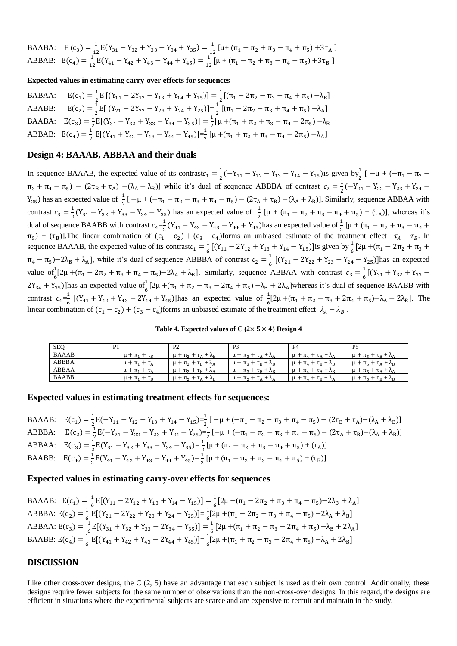\n
$$
E(c_3) = \frac{1}{12} E(Y_{31} - Y_{32} + Y_{33} - Y_{34} + Y_{35}) = \frac{1}{12} [\mu + (\pi_1 - \pi_2 + \pi_3 - \pi_4 + \pi_5) + 3\pi_A]
$$
\n

\n\n $E(c_4) = \frac{1}{12} E(Y_{41} - Y_{42} + Y_{43} - Y_{44} + Y_{45}) = \frac{1}{12} [\mu + (\pi_1 - \pi_2 + \pi_3 - \pi_4 + \pi_5) + 3\pi_B]$ \n

**Expected values in estimating carry-over effects for sequences**

BABAA: ) =  $\frac{1}{2}$ E [(Y<sub>11</sub> − 2Y<sub>12</sub> − Y<sub>13</sub> + Y<sub>14</sub> + Y<sub>15</sub>)] =  $\frac{1}{2}$ [(π<sub>1</sub> − 2π<sub>2</sub> − π<sub>3</sub> + π<sub>4</sub> + π<sub>5</sub>) −λ<sub>B</sub>]  $2^{-11}$   $-12$   $-13$   $-14$   $-13$ ABABB:  $) = \frac{1}{2}$  $\frac{1}{2}$  E[ (Y<sub>21</sub> – 2Y<sub>22</sub> – Y<sub>23</sub> + Y<sub>24</sub> + Y<sub>25</sub>)]= $\frac{1}{2}$  $\frac{1}{2}$ [( $\pi_1 - 2\pi_2 - \pi_3 + \pi_4 + \pi_5$ )  $-\lambda_A$ ] BAABA:  $E(c_3) = \frac{1}{2}$  $\frac{1}{2}E[(Y_{31} + Y_{32} + Y_{33} - Y_{34} - Y_{35})] = \frac{1}{2}$  $\frac{1}{2}$ [ $\mu + (\pi_1 + \pi_2 + \pi_3 - \pi_4 - 2\pi_5) - \lambda_B$ ABBAB:  $E(c_4) = \frac{1}{2}$  $\frac{1}{2} E[(Y_{41} + Y_{42} + Y_{43} - Y_{44} - Y_{45})] = \frac{1}{2}$  $\frac{1}{2}$  [ $\mu + (\pi_1 + \pi_2 + \pi_3 - \pi_4 - 2\pi_5) - \lambda_A$ ]

## **Design 4: BAAAB, ABBAA and their duals**

In sequence BAAAB, the expected value of its contrast $c_1 = \frac{1}{2}$  $\frac{1}{2}(-Y_{11} - Y_{12} - Y_{13} + Y_{14} - Y_{15})$  is given by<sub>2</sub><sup>1</sup> [ -µ + (- $\pi_1 - \pi_2$  - $\pi_3 + \pi_4 - \pi_5$ ) –  $(2\tau_B + \tau_A)$  – $(\lambda_A + \lambda_B)$ ] while it's dual of sequence ABBBA of contrast  $c_2 = \frac{1}{2}$  $\frac{1}{2}(-Y_{21}-Y_{22}-Y_{23}+Y_{24}-$ Y<sub>25</sub>) has an expected value of  $\frac{1}{2}$  [  $-\mu + (-\pi_1 - \pi_2 - \pi_3 + \pi_4 - \pi_5) - (2\tau_A + \tau_B) - (\lambda_A + \lambda_B)$ ]. Similarly, sequence ABBAA with contrast  $c_3 = \frac{1}{2}$  $\frac{1}{2}(Y_{31} - Y_{32} + Y_{33} - Y_{34} + Y_{35})$  has an expected value of  $\frac{1}{2}[\mu + (\pi_1 - \pi_2 + \pi_3 - \pi_4 + \pi_5) + (\tau_A)],$  whereas it's dual of sequence BAABB with contrast  $c_4 = \frac{1}{2}$  $\frac{1}{2}(Y_{41} - Y_{42} + Y_{43} - Y_{44} + Y_{45})$  has an expected value of  $\frac{1}{2}$  [μ + (π<sub>1</sub> – π<sub>2</sub> + π<sub>3</sub> – π<sub>4</sub> +  $\pi_5$ ) + ( $\pi_B$ )]. The linear combination of ( $c_1 - c_2$ ) + ( $c_3 - c_4$ ) forms an unbiased estimate of the treatment effect  $\tau_A - \tau_B$ . In sequence BAAAB, the expected value of its contrast $c_1 = \frac{1}{6}$  $\frac{1}{6}$ [(Y<sub>11</sub> – 2Y<sub>12</sub> + Y<sub>13</sub> + Y<sub>14</sub> – Y<sub>15</sub>)]is given by  $\frac{1}{6}$ [2µ +( $\pi$ <sub>1</sub> – 2 $\pi$ <sub>2</sub> +  $\pi$ <sub>3</sub> +  $\pi_4 - \pi_5$ )–2 $\lambda_B + \lambda_A$ , while it's dual of sequence ABBBA of contrast  $c_2 = \frac{1}{6}$  $\frac{1}{6}$  [(Y<sub>21</sub> – 2Y<sub>22</sub> + Y<sub>23</sub> + Y<sub>24</sub> – Y<sub>25</sub>)] has an expected value of  $\frac{1}{6}$ [2µ +( $\pi_1 - 2\pi_2 + \pi_3 + \pi_4 - \pi_5$ ) - 2 $\lambda_A + \lambda_B$ ]. Similarly, sequence ABBAA with contrast  $c_3 = \frac{1}{6}$  $\frac{1}{6}$ [(Y<sub>31</sub> + Y<sub>32</sub> + Y<sub>33</sub> –  $2Y_{34} + Y_{35}$ )]has an expected value of  $\frac{1}{6}$ [2µ +( $\pi_1 + \pi_2 - \pi_3 - 2\pi_4 + \pi_5$ )  $-\lambda_B + 2\lambda_A$ ]whereas it's dual of sequence BAABB with contrast  $c_4 = \frac{1}{6}$  $\frac{1}{6}$  [(Y<sub>41</sub> + Y<sub>42</sub> + Y<sub>43</sub> – 2Y<sub>44</sub> + Y<sub>45</sub>)]has an expected value of  $\frac{1}{6}$ [2 $\mu$  + ( $\pi_1$  +  $\pi_2$  –  $\pi_3$  + 2 $\pi_4$  +  $\pi_5$ ) –  $\lambda_A$  + 2 $\lambda_B$ ]. The linear combination of  $(c_1 - c_2) + (c_3 - c_4)$  forms an unbiased estimate of the treatment effect  $\lambda_A - \lambda_B$ .

**Table 4. Expected values of C**  $(2 \times 5 \times 4)$  **Design 4** 

| <b>SEQ</b>   | P <sub>1</sub>         | P <sub>2</sub>                                                          | P <sub>3</sub>                                                          | P <sub>4</sub>                     | P <sub>5</sub>                                            |
|--------------|------------------------|-------------------------------------------------------------------------|-------------------------------------------------------------------------|------------------------------------|-----------------------------------------------------------|
| <b>BAAAB</b> | $\mu + \pi_1 + \tau_R$ | $\mu + \pi$ <sub>2</sub> + $\tau$ <sub>A</sub> + $\lambda$ <sub>R</sub> | $\mu + \pi_3 + \tau_A + \lambda_A$                                      | $\mu + \pi_4 + \tau_4 + \lambda_4$ | $\mu + \pi_{5} + \tau_{B} + \lambda_{A}$                  |
| ABBBA        | $\mu + \pi_1 + \tau_A$ | $\mu + \pi_2 + \tau_B + \lambda_A$                                      | $\mu + \pi_3 + \tau_B + \lambda_B$                                      | $\mu + \pi_4 + \tau_B + \lambda_B$ | $\mu + \pi_5 + \tau_A + \lambda_B$                        |
| ABBAA        | $\mu + \pi_1 + \tau_4$ | $\mu + \pi_2 + \tau_B + \lambda_A$                                      | $\mu + \pi_3 + \tau_B + \lambda_B$                                      | $\mu + \pi_4 + \tau_A + \lambda_B$ | $\mu + \pi_{\epsilon} + \tau_{\Delta} + \lambda_{\Delta}$ |
| <b>BAABB</b> | $\mu + \pi_1 + \tau_R$ | $\mu + \pi$ <sub>2</sub> + $\tau$ <sub>A</sub> + $\lambda$ <sub>R</sub> | $\mu + \pi$ <sub>2</sub> + $\tau$ <sub>A</sub> + $\lambda$ <sub>A</sub> | $\mu + \pi_4 + \tau_B + \lambda_A$ | $\mu + \pi_5 + \tau_B + \lambda_B$                        |

#### **Expected values in estimating treatment effects for sequences:**

BAAAB:  $E(c_1) = \frac{1}{2}E(-Y_{11} - Y_{12} - Y_{13} + Y_{14} - Y_{15}) = \frac{1}{2}[-\mu + (-\pi_1 - \pi_2 - \pi_3 + \pi_4 - \pi_5) - (2\tau_B + \tau_A) - (\lambda_A + \lambda_B)]$  $2$  (11  $12$   $13$   $14$   $15$   $2$ ABBBA:  $E(c_2) = \frac{1}{2}$  $\frac{1}{2}E(-Y_{21}-Y_{22}-Y_{23}+Y_{24}-Y_{25})=\frac{1}{2}$  $\frac{1}{2}[-\mu + (-\pi_1 - \pi_2 - \pi_3 + \pi_4 - \pi_5) - (2\tau_A + \tau_B) - (\lambda_A + \lambda_B)]$ ABBAA:  $E(c_3) = \frac{1}{2}$  $\frac{1}{2}E(Y_{31} - Y_{32} + Y_{33} - Y_{34} + Y_{35}) = \frac{1}{2}$  $\frac{1}{2}$  [ $\mu + (\pi_1 - \pi_2 + \pi_3 - \pi_4 + \pi_5) + (\tau_A)$ ] BAABB:  $E(c_4) = \frac{1}{2}$  $\frac{1}{2}E(Y_{41} - Y_{42} + Y_{43} - Y_{44} + Y_{45}) = \frac{1}{2}$  $\frac{1}{2} [\mu + (\pi_1 - \pi_2 + \pi_3 - \pi_4 + \pi_5) + (\tau_B)]$ 

## **Expected values in estimating carry-over effects for sequences**

\nBAAB: \n
$$
E(c_1) = \frac{1}{6} E[(Y_{11} - 2Y_{12} + Y_{13} + Y_{14} - Y_{15})] = \frac{1}{6} [2\mu + (\pi_1 - 2\pi_2 + \pi_3 + \pi_4 - \pi_5) - 2\lambda_B + \lambda_A]
$$
\n

\n\nABBA: \n $E(c_2) = \frac{1}{6} E[(Y_{21} - 2Y_{22} + Y_{23} + Y_{24} - Y_{25})] = \frac{1}{6} [2\mu + (\pi_1 - 2\pi_2 + \pi_3 + \pi_4 - \pi_5) - 2\lambda_A + \lambda_B]$ \n

\n\nABBAA: \n $E(c_3) = \frac{1}{6} E[(Y_{31} + Y_{32} + Y_{33} - 2Y_{34} + Y_{35})] = \frac{1}{6} [2\mu + (\pi_1 + \pi_2 - \pi_3 - 2\pi_4 + \pi_5) - \lambda_B + 2\lambda_A]$ \n

\n\nBAABB: \n $E(c_4) = \frac{1}{6} E[(Y_{41} + Y_{42} + Y_{43} - 2Y_{44} + Y_{45})] = \frac{1}{6} [2\mu + (\pi_1 + \pi_2 - \pi_3 - 2\pi_4 + \pi_5) - \lambda_A + 2\lambda_B]$ \n

### **DISCUSSION**

Like other cross-over designs, the  $C(2, 5)$  have an advantage that each subject is used as their own control. Additionally, these designs require fewer subjects for the same number of observations than the non-cross-over designs. In this regard, the designs are efficient in situations where the experimental subjects are scarce and are expensive to recruit and maintain in the study.